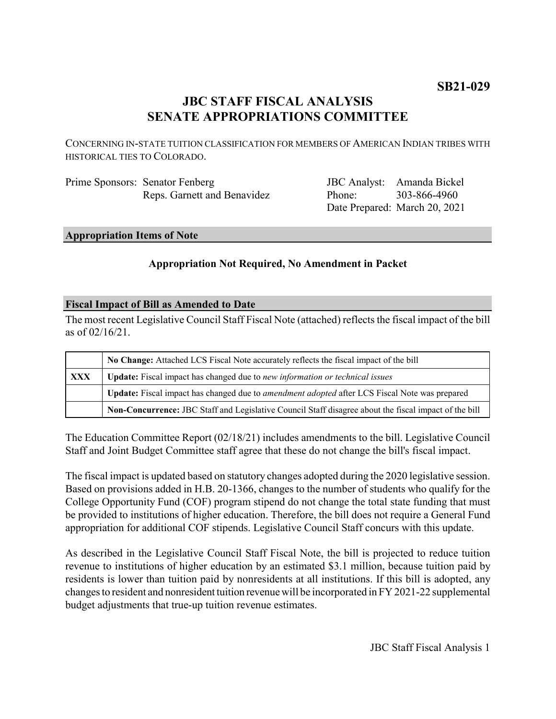# **JBC STAFF FISCAL ANALYSIS SENATE APPROPRIATIONS COMMITTEE**

CONCERNING IN-STATE TUITION CLASSIFICATION FOR MEMBERS OF AMERICAN INDIAN TRIBES WITH HISTORICAL TIES TO COLORADO.

| Prime Sponsors: Senator Fenberg |
|---------------------------------|
| Reps. Garnett and Benavidez     |

JBC Analyst: Amanda Bickel Phone: Date Prepared: March 20, 2021 303-866-4960

# **Appropriation Items of Note**

# **Appropriation Not Required, No Amendment in Packet**

#### **Fiscal Impact of Bill as Amended to Date**

The most recent Legislative Council Staff Fiscal Note (attached) reflects the fiscal impact of the bill as of 02/16/21.

|     | No Change: Attached LCS Fiscal Note accurately reflects the fiscal impact of the bill                 |  |
|-----|-------------------------------------------------------------------------------------------------------|--|
| XXX | <b>Update:</b> Fiscal impact has changed due to new information or technical issues                   |  |
|     | Update: Fiscal impact has changed due to <i>amendment adopted</i> after LCS Fiscal Note was prepared  |  |
|     | Non-Concurrence: JBC Staff and Legislative Council Staff disagree about the fiscal impact of the bill |  |

The Education Committee Report (02/18/21) includes amendments to the bill. Legislative Council Staff and Joint Budget Committee staff agree that these do not change the bill's fiscal impact.

The fiscal impact is updated based on statutory changes adopted during the 2020 legislative session. Based on provisions added in H.B. 20-1366, changes to the number of students who qualify for the College Opportunity Fund (COF) program stipend do not change the total state funding that must be provided to institutions of higher education. Therefore, the bill does not require a General Fund appropriation for additional COF stipends. Legislative Council Staff concurs with this update.

As described in the Legislative Council Staff Fiscal Note, the bill is projected to reduce tuition revenue to institutions of higher education by an estimated \$3.1 million, because tuition paid by residents is lower than tuition paid by nonresidents at all institutions. If this bill is adopted, any changes to resident and nonresident tuition revenue will be incorporated in FY 2021-22 supplemental budget adjustments that true-up tuition revenue estimates.